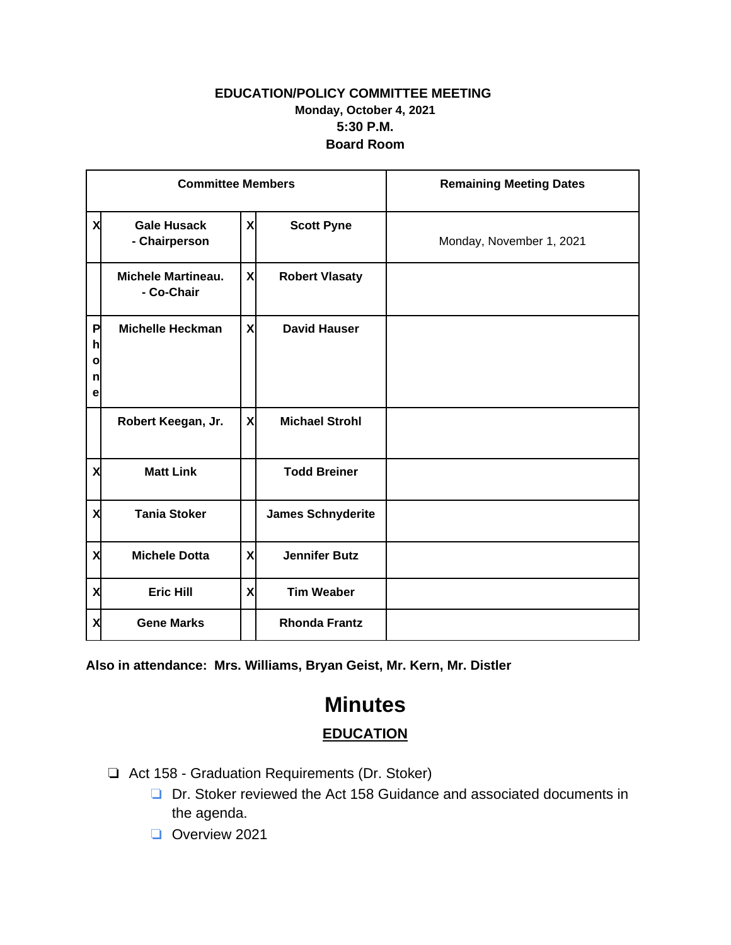## **EDUCATION/POLICY COMMITTEE MEETING Monday, October 4, 2021 5:30 P.M. Board Room**

| <b>Committee Members</b>         |                                         |                           |                          | <b>Remaining Meeting Dates</b> |
|----------------------------------|-----------------------------------------|---------------------------|--------------------------|--------------------------------|
| X                                | <b>Gale Husack</b><br>- Chairperson     | X                         | <b>Scott Pyne</b>        | Monday, November 1, 2021       |
|                                  | <b>Michele Martineau.</b><br>- Co-Chair | X                         | <b>Robert Vlasaty</b>    |                                |
| P<br>h<br>$\mathbf{o}$<br>n<br>е | <b>Michelle Heckman</b>                 | $\boldsymbol{\mathsf{x}}$ | <b>David Hauser</b>      |                                |
|                                  | Robert Keegan, Jr.                      | $\boldsymbol{\mathsf{x}}$ | <b>Michael Strohl</b>    |                                |
| X                                | <b>Matt Link</b>                        |                           | <b>Todd Breiner</b>      |                                |
| X                                | <b>Tania Stoker</b>                     |                           | <b>James Schnyderite</b> |                                |
| X                                | <b>Michele Dotta</b>                    | X                         | <b>Jennifer Butz</b>     |                                |
| X                                | <b>Eric Hill</b>                        | X                         | <b>Tim Weaber</b>        |                                |
| X                                | <b>Gene Marks</b>                       |                           | <b>Rhonda Frantz</b>     |                                |

**Also in attendance: Mrs. Williams, Bryan Geist, Mr. Kern, Mr. Distler**

## **Minutes EDUCATION**

- ❏ Act 158 Graduation Requirements (Dr. Stoker)
	- ❏ Dr. Stoker reviewed the Act 158 Guidance and associated documents in the agenda.
	- ❏ Overview 2021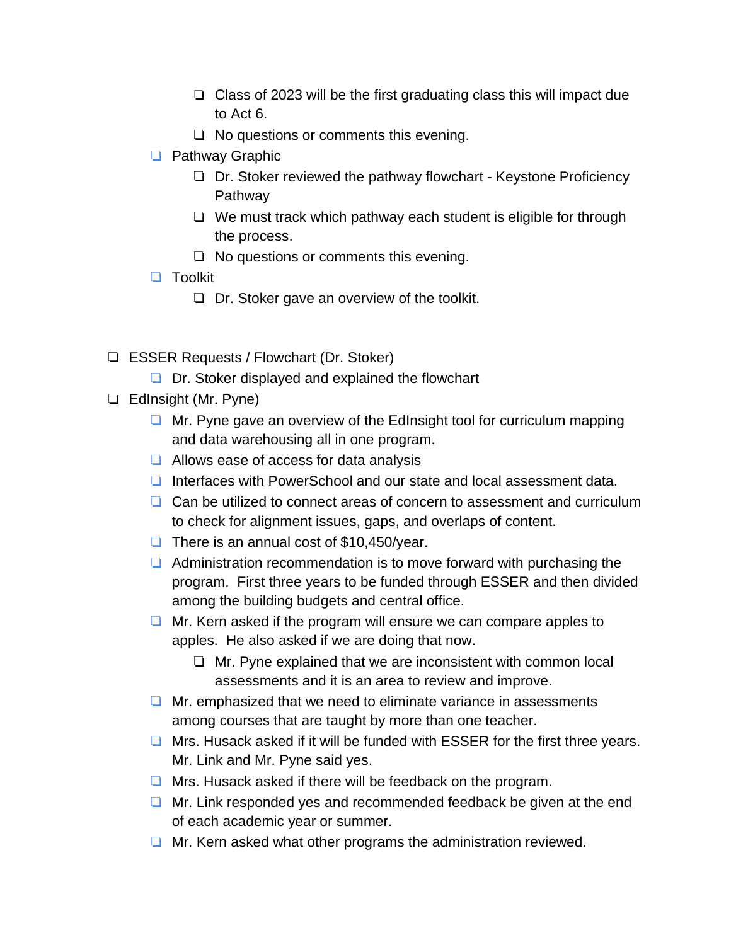- ❏ Class of 2023 will be the first graduating class this will impact due to Act 6.
- ❏ No questions or comments this evening.
- ❏ Pathway Graphic
	- ❏ Dr. Stoker reviewed the pathway flowchart Keystone Proficiency Pathway
	- ❏ We must track which pathway each student is eligible for through the process.
	- ❏ No questions or comments this evening.
- ❏ Toolkit
	- ❏ Dr. Stoker gave an overview of the toolkit.
- ❏ ESSER Requests / Flowchart (Dr. Stoker)
	- ❏ Dr. Stoker displayed and explained the flowchart
- ❏ EdInsight (Mr. Pyne)
	- ❏ Mr. Pyne gave an overview of the EdInsight tool for curriculum mapping and data warehousing all in one program.
	- ❏ Allows ease of access for data analysis
	- ❏ Interfaces with PowerSchool and our state and local assessment data.
	- ❏ Can be utilized to connect areas of concern to assessment and curriculum to check for alignment issues, gaps, and overlaps of content.
	- ❏ There is an annual cost of \$10,450/year.
	- ❏ Administration recommendation is to move forward with purchasing the program. First three years to be funded through ESSER and then divided among the building budgets and central office.
	- ❏ Mr. Kern asked if the program will ensure we can compare apples to apples. He also asked if we are doing that now.
		- ❏ Mr. Pyne explained that we are inconsistent with common local assessments and it is an area to review and improve.
	- ❏ Mr. emphasized that we need to eliminate variance in assessments among courses that are taught by more than one teacher.
	- ❏ Mrs. Husack asked if it will be funded with ESSER for the first three years. Mr. Link and Mr. Pyne said yes.
	- ❏ Mrs. Husack asked if there will be feedback on the program.
	- ❏ Mr. Link responded yes and recommended feedback be given at the end of each academic year or summer.
	- ❏ Mr. Kern asked what other programs the administration reviewed.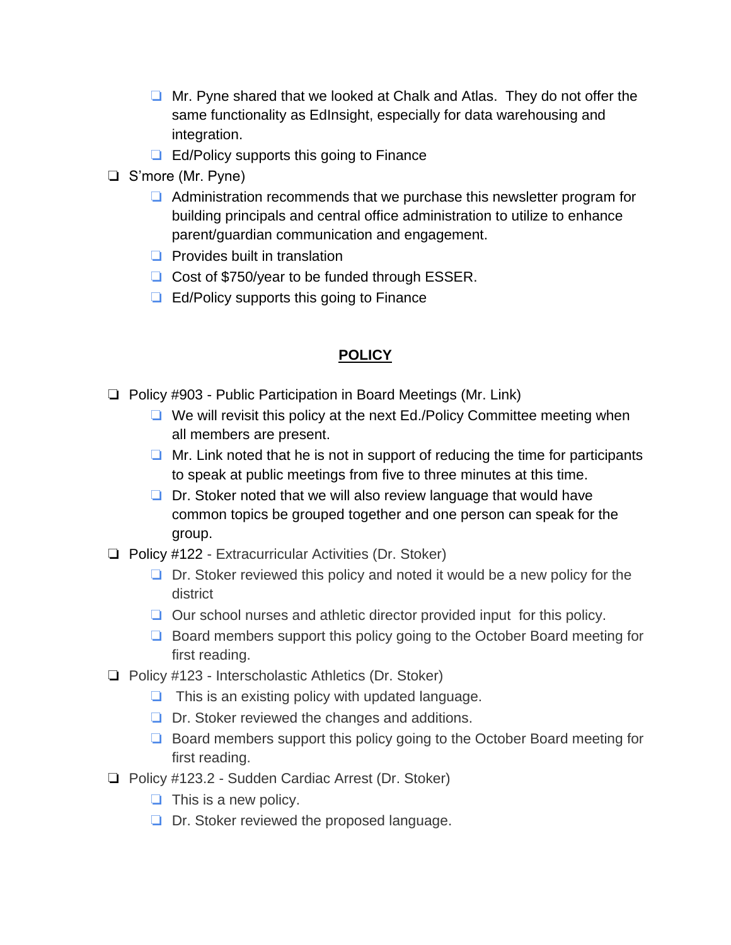- ❏ Mr. Pyne shared that we looked at Chalk and Atlas. They do not offer the same functionality as EdInsight, especially for data warehousing and integration.
- ❏ Ed/Policy supports this going to Finance
- ❏ S'more (Mr. Pyne)
	- ❏ Administration recommends that we purchase this newsletter program for building principals and central office administration to utilize to enhance parent/guardian communication and engagement.
	- ❏ Provides built in translation
	- ❏ Cost of \$750/year to be funded through ESSER.
	- ❏ Ed/Policy supports this going to Finance

## **POLICY**

- ❏ Policy #903 Public Participation in Board Meetings (Mr. Link)
	- ❏ We will revisit this policy at the next Ed./Policy Committee meeting when all members are present.
	- $\Box$  Mr. Link noted that he is not in support of reducing the time for participants to speak at public meetings from five to three minutes at this time.
	- ❏ Dr. Stoker noted that we will also review language that would have common topics be grouped together and one person can speak for the group.
- ❏ Policy #122 Extracurricular Activities (Dr. Stoker)
	- ❏ Dr. Stoker reviewed this policy and noted it would be a new policy for the district
	- ❏ Our school nurses and athletic director provided input for this policy.
	- ❏ Board members support this policy going to the October Board meeting for first reading.
- ❏ Policy #123 Interscholastic Athletics (Dr. Stoker)
	- ❏ This is an existing policy with updated language.
	- ❏ Dr. Stoker reviewed the changes and additions.
	- ❏ Board members support this policy going to the October Board meeting for first reading.
- ❏ Policy #123.2 Sudden Cardiac Arrest (Dr. Stoker)
	- $\Box$  This is a new policy.
	- ❏ Dr. Stoker reviewed the proposed language.